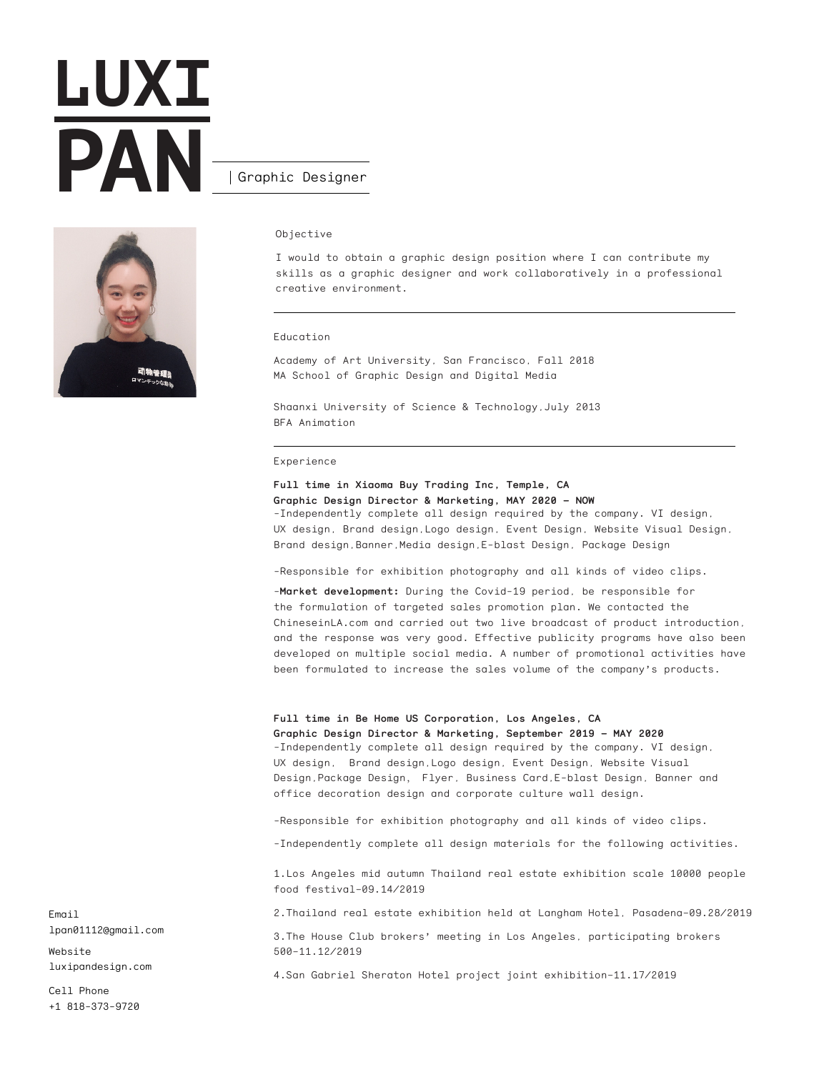# **LUXI PAN** Graphic Designer



### Objective

I would to obtain a graphic design position where I can contribute my skills as a graphic designer and work collaboratively in a professional creative environment.

### Education

Academy of Art University, San Francisco, Fall 2018 MA School of Graphic Design and Digital Media

Shaanxi University of Science & Technology,July 2013 BFA Animation

#### Experience

**Full time in Xiaoma Buy Trading Inc, Temple, CA Graphic Design Director & Marketing, MAY 2020 – NOW** -Independently complete all design required by the company. VI design, UX design, Brand design,Logo design, Event Design, Website Visual Design, Brand design,Banner,Media design,E-blast Design, Package Design

-Responsible for exhibition photography and all kinds of video clips.

-**Market development:** During the Covid-19 period, be responsible for the formulation of targeted sales promotion plan. We contacted the ChineseinLA.com and carried out two live broadcast of product introduction, and the response was very good. Effective publicity programs have also been developed on multiple social media. A number of promotional activities have been formulated to increase the sales volume of the company's products.

## **Full time in Be Home US Corporation, Los Angeles, CA**

**Graphic Design Director & Marketing, September 2019 – MAY 2020** -Independently complete all design required by the company. VI design, UX design, Brand design,Logo design, Event Design, Website Visual Design,Package Design, Flyer, Business Card,E-blast Design, Banner and office decoration design and corporate culture wall design.

-Responsible for exhibition photography and all kinds of video clips.

-Independently complete all design materials for the following activities.

1.Los Angeles mid autumn Thailand real estate exhibition scale 10000 people food festival–09.14/2019

2.Thailand real estate exhibition held at Langham Hotel, Pasadena–09.28/2019

3.The House Club brokers' meeting in Los Angeles, participating brokers 500–11.12/2019

4.San Gabriel Sheraton Hotel project joint exhibition–11.17/2019

Email lpan01112@gmail.com

Website luxipandesign.com

Cell Phone +1 818-373-9720